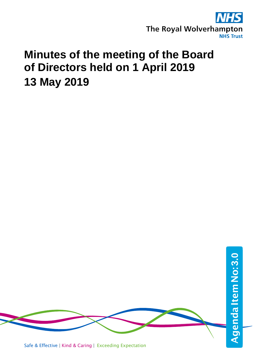

# **Minutes of the meeting of the Board of Directors held on 1 April 2019 13 May 2019**

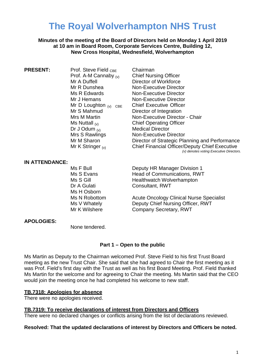## **The Royal Wolverhampton NHS Trust**

**Minutes of the meeting of the Board of Directors held on Monday 1 April 2019 at 10 am in Board Room, Corporate Services Centre, Building 12, New Cross Hospital, Wednesfield, Wolverhampton**

**PRESENT:** Prof. Steve Field CBE Chairman Prof. A-M Cannaby  $_{(v)}$  Chief Nursing Officer<br>Mr A Duffell **Director of Workforce** Mr A Duffell **Director of Workforce**<br>
Mr R Dunshea **Director**<br>
Non-Executive Director Mr D Loughton  $_{(v)}$  CBE<br>Mr S Mahmud Dr J Odum  $_{(v)}$ <br>Mrs S Rawlings

Mr R Dunshea Mon-Executive Director<br>
Ms R Edwards
Non-Executive Director Non-Executive Director Mr J Hemans **Non-Executive Director**<br>Mr D Loughton <sub>(v)</sub> CRE Chief Executive Officer Director of Integration Mrs M Martin **Non-Executive Director - Chair**<br>Ms Nuttall <sub>(v)</sub> Chief Operating Officer Chief Operating Officer<br>Medical Director Non-Executive Director Mr M Sharon **Director of Strategic Planning and Performance** Mr K Stringer  $_{(v)}$  Chief Financial Officer/Deputy Chief Executive *(v) denotes voting Executive Directors.*

#### **IN ATTENDANCE:**

Ms H Osborn

Ms F Bull **Deputy HR Manager Division 1** Ms S Evans France Head of Communications, RWT<br>Ms S Gill France Healthwatch Wolverhampton Healthwatch Wolverhampton Dr A Gulati **Consultant, RWT** 

Ms N Robottom Acute Oncology Clinical Nurse Specialist Ms V Whately **Deputy Chief Nursing Officer, RWT**<br>
Mr K Wilshere **Company Secretary, RWT** Company Secretary, RWT

#### **APOLOGIES:**

None tendered.

#### **Part 1 – Open to the public**

Ms Martin as Deputy to the Chairman welcomed Prof. Steve Field to his first Trust Board meeting as the new Trust Chair. She said that she had agreed to Chair the first meeting as it was Prof. Field's first day with the Trust as well as his first Board Meeting. Prof. Field thanked Ms Martin for the welcome and for agreeing to Chair the meeting. Ms Martin said that the CEO would join the meeting once he had completed his welcome to new staff.

#### **TB.7318: Apologies for absence**

There were no apologies received.

**TB.7319: To receive declarations of interest from Directors and Officers**

There were no declared changes or conflicts arising from the list of declarations reviewed.

#### **Resolved: That the updated declarations of interest by Directors and Officers be noted.**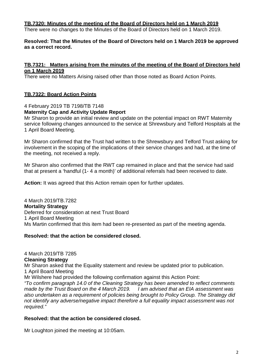#### **TB.7320: Minutes of the meeting of the Board of Directors held on 1 March 2019**

There were no changes to the Minutes of the Board of Directors held on 1 March 2019.

#### **Resolved: That the Minutes of the Board of Directors held on 1 March 2019 be approved as a correct record.**

#### **TB.7321: Matters arising from the minutes of the meeting of the Board of Directors held on 1 March 2019**

There were no Matters Arising raised other than those noted as Board Action Points.

#### **TB.7322: Board Action Points**

4 February 2019 TB 7198/TB 7148

#### **Maternity Cap and Activity Update Report**

Mr Sharon to provide an initial review and update on the potential impact on RWT Maternity service following changes announced to the service at Shrewsbury and Telford Hospitals at the 1 April Board Meeting.

Mr Sharon confirmed that the Trust had written to the Shrewsbury and Telford Trust asking for involvement in the scoping of the implications of their service changes and had, at the time of the meeting, not received a reply.

Mr Sharon also confirmed that the RWT cap remained in place and that the service had said that at present a 'handful (1- 4 a month)' of additional referrals had been received to date.

**Action:** It was agreed that this Action remain open for further updates.

4 March 2019/TB.7282 **Mortality Strategy** Deferred for consideration at next Trust Board 1 April Board Meeting Ms Martin confirmed that this item had been re-presented as part of the meeting agenda.

#### **Resolved: that the action be considered closed.**

#### 4 March 2019/TB 7285

#### **Cleaning Strategy**

Mr Sharon asked that the Equality statement and review be updated prior to publication. 1 April Board Meeting

Mr Wilshere had provided the following confirmation against this Action Point:

*"To confirm paragraph 14.0 of the Cleaning Strategy has been amended to reflect comments made by the Trust Board on the 4 March 2019. I am advised that an EIA assessment was also undertaken as a requirement of policies being brought to Policy Group. The Strategy did not identify any adverse/negative impact therefore a full equality impact assessment was not required."*

#### **Resolved: that the action be considered closed.**

Mr Loughton joined the meeting at 10:05am.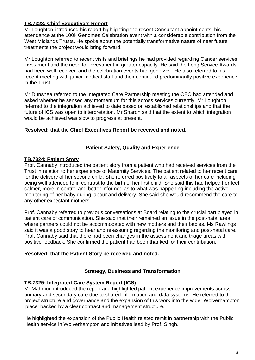#### **TB.7323: Chief Executive's Report**

Mr Loughton introduced his report highlighting the recent Consultant appointments, his attendance at the 100k Genomes Celebration event with a considerable contribution from the West Midlands Trusts. He spoke about the potentially transformative nature of near future treatments the project would bring forward.

Mr Loughton referred to recent visits and briefings he had provided regarding Cancer services investment and the need for investment in greater capacity. He said the Long Service Awards had been well received and the celebration events had gone well. He also referred to his recent meeting with junior medical staff and their continued predominantly positive experience in the Trust.

Mr Dunshea referred to the Integrated Care Partnership meeting the CEO had attended and asked whether he sensed any momentum for this across services currently. Mr Loughton referred to the integration achieved to date based on established relationships and that the future of ICS was open to interpretation. Mr Sharon said that the extent to which integration would be achieved was slow to progress at present.

#### **Resolved: that the Chief Executives Report be received and noted.**

#### **Patient Safety, Quality and Experience**

#### **TB.7324: Patient Story**

Prof. Cannaby introduced the patient story from a patient who had received services from the Trust in relation to her experience of Maternity Services. The patient related to her recent care for the delivery of her second child. She referred positively to all aspects of her care including being well attended to in contrast to the birth of her first child. She said this had helped her feel calmer, more in control and better informed as to what was happening including the active monitoring of her baby during labour and delivery. She said she would recommend the care to any other expectant mothers.

Prof. Cannaby referred to previous conversations at Board relating to the crucial part played in patient care of communication. She said that their remained an issue in the post-natal area where partners could not be accommodated with new mothers and their babies. Ms Rawlings said it was a good story to hear and re-assuring regarding the monitoring and post-natal care. Prof. Cannaby said that there had been changes in the assessment and triage areas with positive feedback. She confirmed the patient had been thanked for their contribution.

#### **Resolved: that the Patient Story be received and noted.**

### **Strategy, Business and Transformation**

#### **TB.7325: Integrated Care System Report (ICS)**

Mr Mahmud introduced the report and highlighted patient experience improvements across primary and secondary care due to shared information and data systems. He referred to the project structure and governance and the expansion of this work into the wider Wolverhampton 'place' backed by a clear contract and management structure.

He highlighted the expansion of the Public Health related remit in partnership with the Public Health service in Wolverhampton and initiatives lead by Prof. Singh.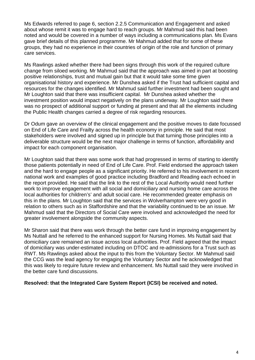Ms Edwards referred to page 6, section 2.2.5 Communication and Engagement and asked about whose remit it was to engage hard to reach groups. Mr Mahmud said this had been noted and would be covered in a number of ways including a communications plan. Ms Evans gave brief details of this planned programme. Mr Mahmud added that for some of these groups, they had no experience in their countries of origin of the role and function of primary care services.

Ms Rawlings asked whether there had been signs through this work of the required culture change from siloed working. Mr Mahmud said that the approach was aimed in part at boosting positive relationships, trust and mutual gain but that it would take some time given organisational history and experience. Mr Dunshea asked if the Trust had sufficient capital and resources for the changes identified. Mr Mahmud said further investment had been sought and Mr Loughton said that there was insufficient capital. Mr Dunshea asked whether the investment position would impact negatively on the plans underway. Mr Loughton said there was no prospect of additional support or funding at present and that all the elements including the Public Health changes carried a degree of risk regarding resources.

Dr Odum gave an overview of the clinical engagement and the positive moves to date focussed on End of Life Care and Frailty across the health economy in principle. He said that most stakeholders were involved and signed up in principle but that turning those principles into a deliverable structure would be the next major challenge in terms of function, affordability and impact for each component organisation.

Mr Loughton said that there was some work that had progressed in terms of starting to identify those patients potentially in need of End of Life Care. Prof. Field endorsed the approach taken and the hard to engage people as a significant priority. He referred to his involvement in recent national work and examples of good practice including Bradford and Reading each echoed in the report provided. He said that the link to the rest of the Local Authority would need further work to improve engagement with all social and domiciliary and nursing home care across the local authorities for children's' and adult social care. He recommended greater emphasis on this in the plans. Mr Loughton said that the services in Wolverhampton were very good in relation to others such as in Staffordshire and that the variability continued to be an issue. Mr Mahmud said that the Directors of Social Care were involved and acknowledged the need for greater involvement alongside the community aspects.

Mr Sharon said that there was work through the better care fund in improving engagement by Ms Nuttall and he referred to the enhanced support for Nursing Homes. Ms Nuttall said that domiciliary care remained an issue across local authorities. Prof. Field agreed that the impact of domiciliary was under-estimated including on DTOC and re-admissions for a Trust such as RWT. Ms Rawlings asked about the input to this from the Voluntary Sector. Mr Mahmud said the CCG was the lead agency for engaging the Voluntary Sector and he acknowledged that this was likely to require future review and enhancement. Ms Nuttall said they were involved in the better care fund discussions.

#### **Resolved: that the Integrated Care System Report (ICSI) be received and noted.**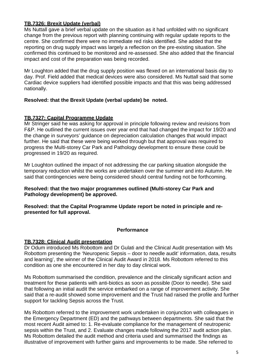#### **TB.7326: Brexit Update (verbal)**

Ms Nuttall gave a brief verbal update on the situation as it had unfolded with no significant change from the previous report with planning continuing with regular update reports to the centre. She confirmed there were no immediate red risks identified. She added that the reporting on drug supply impact was largely a reflection on the pre-existing situation. She confirmed this continued to be monitored and re-assessed. She also added that the financial impact and cost of the preparation was being recorded.

Mr Loughton added that the drug supply position was flexed on an international basis day to day. Prof. Field added that medical devices were also considered. Ms Nuttall said that some Cardiac device suppliers had identified possible impacts and that this was being addressed nationally.

#### **Resolved: that the Brexit Update (verbal update) be noted.**

#### **TB.7327: Capital Programme Update**

Mr Stringer said he was asking for approval in principle following review and revisions from F&P. He outlined the current issues over year end that had changed the impact for 19/20 and the change in surveyors' guidance on depreciation calculation changes that would impact further. He said that these were being worked through but that approval was required to progress the Multi-storey Car Park and Pathology development to ensure these could be progressed in 19/20 as required.

Mr Loughton outlined the impact of not addressing the car parking situation alongside the temporary reduction whilst the works are undertaken over the summer and into Autumn. He said that contingencies were being considered should central funding not be forthcoming.

#### **Resolved: that the two major programmes outlined (Multi-storey Car Park and Pathology development) be approved.**

**Resolved: that the Capital Programme Update report be noted in principle and represented for full approval.**

#### **Performance**

#### **TB.7328: Clinical Audit presentation**

Dr Odum introduced Ms Robottom and Dr Gulati and the Clinical Audit presentation with Ms Robottom presenting the 'Neuropenic Sepsis – door to needle audit' information, data, results and learning', the winner of the Clinical Audit Award in 2018. Ms Robottom referred to this condition as one she encountered in her day to day clinical work.

Ms Robottom summarised the condition, prevalence and the clinically significant action and treatment for these patients with anti-biotics as soon as possible (Door to needle). She said that following an initial audit the service embarked on a range of improvement activity. She said that a re-audit showed some improvement and the Trust had raised the profile and further support for tackling Sepsis across the Trust.

Ms Robottom referred to the improvement work undertaken in conjunction with colleagues in the Emergency Department (ED) and the pathways between departments. She said that the most recent Audit aimed to: 1. Re-evaluate compliance for the management of neutropenic sepsis within the Trust, and 2. Evaluate changes made following the 2017 audit action plan. Ms Robottom detailed the audit method and criteria used and summarised the findings as illustrative of improvement with further gains and improvements to be made. She referred to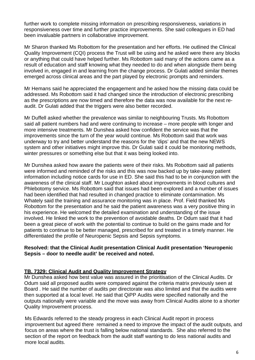further work to complete missing information on prescribing responsiveness, variations in responsiveness over time and further practice improvements. She said colleagues in ED had been invaluable partners in collaborative improvement.

Mr Sharon thanked Ms Robottom for the presentation and her efforts. He outlined the Clinical Quality Improvement (CQI) process the Trust will be using and he asked were there any blocks or anything that could have helped further. Ms Robottom said many of the actions came as a result of education and staff knowing what they needed to do and when alongside them being involved in, engaged in and learning from the change process. Dr Gulati added similar themes emerged across clinical areas and the part played by electronic prompts and reminders.

Mr Hemans said he appreciated the engagement and he asked how the missing data could be addressed. Ms Robottom said it had changed since the introduction of electronic prescribing as the prescriptions are now timed and therefore the data was now available for the next reaudit. Dr Gulati added that the triggers were also better recorded.

Mr Duffell asked whether the prevalence was similar to neighbouring Trusts. Ms Robottom said all patient numbers had and were continuing to increase – more people with longer and more intensive treatments. Mr Dunshea asked how confident the service was that the improvements since the turn of the year would continue. Ms Robottom said that work was underway to try and better understand the reasons for the 'dips' and that the new NEWS system and other initiatives might improve this. Dr Gulati said it could be monitoring methods, winter pressures or something else but that it was being looked into.

Mr Dunshea asked how aware the patients were of their risks. Ms Robottom said all patients were informed and reminded of the risks and this was now backed up by take-away patient information including notice cards for use in ED. She said this had to be in conjunction with the awareness of the clinical staff. Mr Loughton asked about improvements in blood cultures and Phlebotomy service. Ms Robottom said that issues had been explored and a number of issues had been identified that had resulted in changed practice to eliminate contamination. Ms Whately said the training and assurance monitoring was in place. Prof. Field thanked Ms Robottom for the presentation and he said the patient awareness was a very positive thing in his experience. He welcomed the detailed examination and understanding of the issue involved. He linked the work to the prevention of avoidable deaths. Dr Odum said that it had been a great piece of work with the potential to continue to build on the gains made and for patients to continue to be better managed, prescribed for and treated in a timely manner. He differentiated the profile of Neuropenic Sepsis and Sepsis symptoms.

#### **Resolved: that the Clinical Audit presentation Clinical Audit presentation 'Neuropenic Sepsis – door to needle audit' be received and noted.**

#### **TB. 7329: Clinical Audit and Quality Improvement Strategy**

Mr Dunshea asked how best value was assured in the prioritisation of the Clinical Audits. Dr Odum said all proposed audits were compared against the criteria matrix previously seen at Board . He said the number of audits per directorate was also limited and that the audits were then supported at a local level. He said that QiPP Audits were specified nationally and the outputs nationally were variable and the move was away from Clinical Audits alone to a shorter Quality Improvement process.

Ms Edwards referred to the steady progress in each Clinical Audit report in process improvement but agreed there remained a need to improve the impact of the audit outputs, and focus on areas where the trust is falling below national standards. She also referred to the section of the report on feedback from the audit staff wanting to do less national audits and more local audits.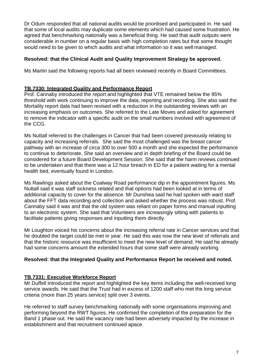Dr Odum responded that all national audits would be prioritised and participated in. He said that some of local audits may duplicate some elements which had caused some frustration. He agreed that benchmarking nationally was a beneficial thing. He said that audit outputs were considerable in number on a regular basis with high completion rates but that some thought would need to be given to which audits and what information so it was well managed.

#### **Resolved: that the Clinical Audit and Quality Improvement Strategy be approved.**

Ms Martin said the following reports had all been reviewed recently in Board Committees.

#### **TB.7330: Integrated Quality and Performance Report**

Prof. Cannaby introduced the report and highlighted that VTE remained below the 95% threshold with work continuing to improve the data, reporting and recording. She also said the Mortality report data had been revised with a reduction in the outstanding reviews with an increasing emphasis on outcomes. She referred to the Late Moves and asked for agreement to remove the indicator with a specific audit on the small numbers involved with agreement of the CCG.

Ms Nuttall referred to the challenges in Cancer that had been covered previously relating to capacity and increasing referrals. She said the most challenged was the breast cancer pathway with an increase of circa 300 to over 500 a month and she expected the performance to continue to deteriorate. She said an overview and in depth briefing of the Board could be considered for a future Board Development Session. She said that the harm reviews continued to be undertaken and that there was a 12 hour breach in ED for a patient waiting for a mental health bed, eventually found in London.

Ms Rawlings asked about the Coalway Road performance dip in the appointment figures. Ms Nuttall said it was staff sickness related and that options had been looked at in terms of additional capacity to cover for the absence. Mr Dunshea said he had spoken with ward staff about the FFT data recording and collection and asked whether the process was robust. Prof. Cannaby said it was and that the old system was reliant on paper forms and manual inputting to an electronic system. She said that Volunteers are increasingly sitting with patients to facilitate patients giving responses and inputting them directly.

Mr Loughton voiced his concerns about the increasing referral rate in Cancer services and that he doubted the target could be met in year. He said this was now the new level of referrals and that the historic resource was insufficient to meet the new level of demand. He said he already had some concerns amount the extended hours that some staff were already working.

#### **Resolved: that the Integrated Quality and Performance Report be received and noted.**

#### **TB.7331: Executive Workforce Report**

Mr Duffell introduced the report and highlighted the key items including the well-received long service awards. He said that the Trust had in excess of 1200 staff who met the long service criteria (more than 25 years service) split over 3 events.

He referred to staff survey benchmarking nationally with some organisations improving and performing beyond the RWT figures. He confirmed the completion of the preparation for the Band 1 phase out. He said the vacancy rate had been adversely impacted by the increase in establishment and that recruitment continued apace.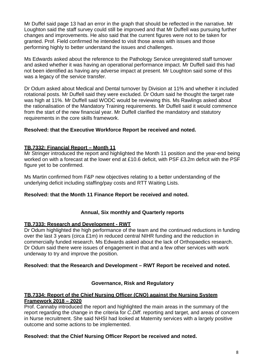Mr Duffel said page 13 had an error in the graph that should be reflected in the narrative. Mr Loughton said the staff survey could still be improved and that Mr Duffell was pursuing further changes and improvements. He also said that the current figures were not to be taken for granted. Prof. Field confirmed he intended to visit those areas with issues and those performing highly to better understand the issues and challenges.

Ms Edwards asked about the reference to the Pathology Service unregistered staff turnover and asked whether it was having an operational performance impact. Mr Duffell said this had not been identified as having any adverse impact at present. Mr Loughton said some of this was a legacy of the service transfer.

Dr Odum asked about Medical and Dental turnover by Division at 11% and whether it included rotational posts. Mr Duffell said they were excluded. Dr Odum said he thought the target rate was high at 11%. Mr Duffell said WODC would be reviewing this. Ms Rawlings asked about the rationalisation of the Mandatory Training requirements. Mr Duffell said it would commence from the start of the new financial year. Mr Duffell clarified the mandatory and statutory requirements in the core skills framework.

#### **Resolved: that the Executive Workforce Report be received and noted.**

#### **TB.7332: Financial Report – Month 11**

Mr Stringer introduced the report and highlighted the Month 11 position and the year-end being worked on with a forecast at the lower end at £10.6 deficit, with PSF £3.2m deficit with the PSF figure yet to be confirmed.

Ms Martin confirmed from F&P new objectives relating to a better understanding of the underlying deficit including staffing/pay costs and RTT Waiting Lists.

#### **Resolved: that the Month 11 Finance Report be received and noted.**

#### **Annual, Six monthly and Quarterly reports**

#### **TB.7333: Research and Development - RWT**

Dr Odum highlighted the high performance of the team and the continued reductions in funding over the last 3 years (circa £1m) in reduced central NIHR funding and the reduction in commercially funded research. Ms Edwards asked about the lack of Orthopaedics research. Dr Odum said there were issues of engagement in that and a few other services with work underway to try and improve the position.

#### **Resolved: that the Research and Development – RWT Report be received and noted.**

#### **Governance, Risk and Regulatory**

#### **TB.7334: Report of the Chief Nursing Officer (CNO) against the Nursing System Framework 2018 – 2020**

Prof. Cannaby introduced the report and highlighted the main areas in the summary of the report regarding the change in the criteria for *C.Diff*. reporting and target, and areas of concern in Nurse recruitment. She said NHSI had looked at Maternity services with a largely positive outcome and some actions to be implemented.

#### **Resolved: that the Chief Nursing Officer Report be received and noted.**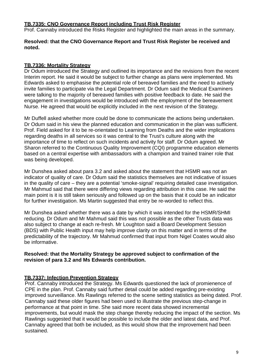#### **TB.7335: CNO Governance Report including Trust Risk Register**

Prof. Cannaby introduced the Risks Register and highlighted the main areas in the summary.

#### **Resolved: that the CNO Governance Report and Trust Risk Register be received and noted.**

#### **TB.7336: Mortality Strategy**

Dr Odum introduced the Strategy and outlined its importance and the revisions from the recent Interim report. He said it would be subject to further change as plans were implemented. Ms Edwards asked to emphasise the potential role of bereaved families and the need to actively invite families to participate via the Legal Department. Dr Odum said the Medical Examiners were talking to the majority of bereaved families with positive feedback to date. He said the engagement in investigations would be introduced with the employment of the bereavement Nurse. He agreed that would be explicitly included in the next revision of the Strategy.

Mr Duffell asked whether more could be done to communicate the actions being undertaken. Dr Odum said in his view the planned education and communication in the plan was sufficient. Prof. Field asked for it to be re-orientated to Learning from Deaths and the wider implications regarding deaths in all services so it was central to the Trust's culture along with the importance of time to reflect on such incidents and activity for staff. Dr Odum agreed. Mr Sharon referred to the Continuous Quality Improvement (CQI) programme education elements based on a central expertise with ambassadors with a champion and trained trainer role that was being developed.

Mr Dunshea asked about para 3.2 and asked about the statement that HSMR was not an indicator of quality of care. Dr Odum said the statistics themselves are not indicative of issues in the quality of care – they are a potential 'smoke-signal' requiring detailed case investigation. Mr Mahmud said that there were differing views regarding attribution in this case. He said the main point is it is still taken seriously and followed up on the basis that it could be an indicator for further investigation. Ms Martin suggested that entry be re-worded to reflect this.

Mr Dunshea asked whether there was a date by which it was intended for the HSMR/SHMI reducing. Dr Odum and Mr Mahmud said this was not possible as the other Trusts data was also subject to change at each re-fresh. Mr Loughton said a Board Development Session (BDS) with Public Health input may help improve clarity on this matter and in terms of the predictability of the trajectory. Mr Mahmud confirmed that input from Nigel Coates would also be informative.

#### **Resolved: that the Mortality Strategy be approved subject to confirmation of the revision of para 3.2 and Ms Edwards contribution.**

#### **TB.7337: Infection Prevention Strategy**

Prof. Cannaby introduced the Strategy. Ms Edwards questioned the lack of promienence of CPE in the plan. Prof. Cannaby said further detail could be added regarding pre-existing improved surveillance. Ms Rawlings referred to the scene setting statistics as being dated. Prof. Cannaby said these older figures had been used to illustrate the previous step-change in performance at that point in time. She said more recent data showed incremental improvements, but would mask the step change thereby reducing the impact of the section. Ms Rawlings suggested that it would be possible to include the older and latest data, and Prof. Cannaby agreed that both be included, as this would show that the improvement had been sustained.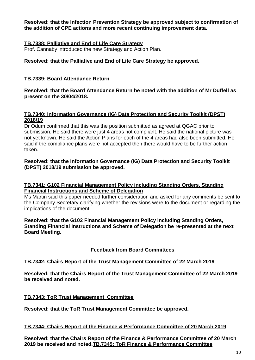**Resolved: that the Infection Prevention Strategy be approved subject to confirmation of the addition of CPE actions and more recent continuing improvement data.**

#### **TB.7338: Palliative and End of Life Care Strategy**

Prof. Cannaby introduced the new Strategy and Action Plan.

#### **Resolved: that the Palliative and End of Life Care Strategy be approved.**

#### **TB.7339: Board Attendance Return**

**Resolved: that the Board Attendance Return be noted with the addition of Mr Duffell as present on the 30/04/2018.**

#### **TB.7340: Information Governance (IG) Data Protection and Security Toolkit (DPST) 2018/19**

Dr Odum confirmed that this was the position submitted as agreed at QGAC prior to submission. He said there were just 4 areas not compliant. He said the national picture was not yet known. He said the Action Plans for each of the 4 areas had also been submitted. He said if the compliance plans were not accepted then there would have to be further action taken.

#### **Resolved: that the Information Governance (IG) Data Protection and Security Toolkit (DPST) 2018/19 submission be approved.**

#### **TB.7341: G102 Financial Management Policy including Standing Orders, Standing Financial Instructions and Scheme of Delegation**

Ms Martin said this paper needed further consideration and asked for any comments be sent to the Company Secretary clarifying whether the revisions were to the document or regarding the implications of the document.

#### **Resolved: that the G102 Financial Management Policy including Standing Orders, Standing Financial Instructions and Scheme of Delegation be re-presented at the next Board Meeting.**

#### **Feedback from Board Committees**

#### **TB.7342: Chairs Report of the Trust Management Committee of 22 March 2019**

**Resolved: that the Chairs Report of the Trust Management Committee of 22 March 2019 be received and noted.**

#### **TB.7343: ToR Trust Management Committee**

**Resolved: that the ToR Trust Management Committee be approved.**

#### **TB.7344: Chairs Report of the Finance & Performance Committee of 20 March 2019**

**Resolved: that the Chairs Report of the Finance & Performance Committee of 20 March 2019 be received and noted.TB.7345: ToR Finance & Performance Committee**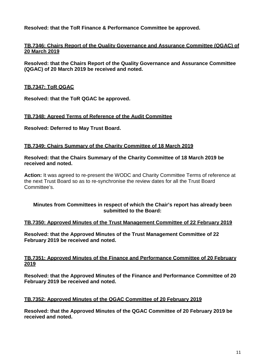**Resolved: that the ToR Finance & Performance Committee be approved.**

#### **TB.7346: Chairs Report of the Quality Governance and Assurance Committee (QGAC) of 20 March 2019**

**Resolved: that the Chairs Report of the Quality Governance and Assurance Committee (QGAC) of 20 March 2019 be received and noted.**

#### **TB.7347: ToR QGAC**

**Resolved: that the ToR QGAC be approved.**

#### **TB.7348: Agreed Terms of Reference of the Audit Committee**

**Resolved: Deferred to May Trust Board.**

#### **TB.7349: Chairs Summary of the Charity Committee of 18 March 2019**

**Resolved: that the Chairs Summary of the Charity Committee of 18 March 2019 be received and noted.**

**Action:** It was agreed to re-present the WODC and Charity Committee Terms of reference at the next Trust Board so as to re-synchronise the review dates for all the Trust Board Committee's.

#### **Minutes from Committees in respect of which the Chair's report has already been submitted to the Board:**

#### **TB.7350: Approved Minutes of the Trust Management Committee of 22 February 2019**

**Resolved: that the Approved Minutes of the Trust Management Committee of 22 February 2019 be received and noted.**

#### **TB.7351: Approved Minutes of the Finance and Performance Committee of 20 February 2019**

**Resolved: that the Approved Minutes of the Finance and Performance Committee of 20 February 2019 be received and noted.**

#### **TB.7352: Approved Minutes of the QGAC Committee of 20 February 2019**

**Resolved: that the Approved Minutes of the QGAC Committee of 20 February 2019 be received and noted.**